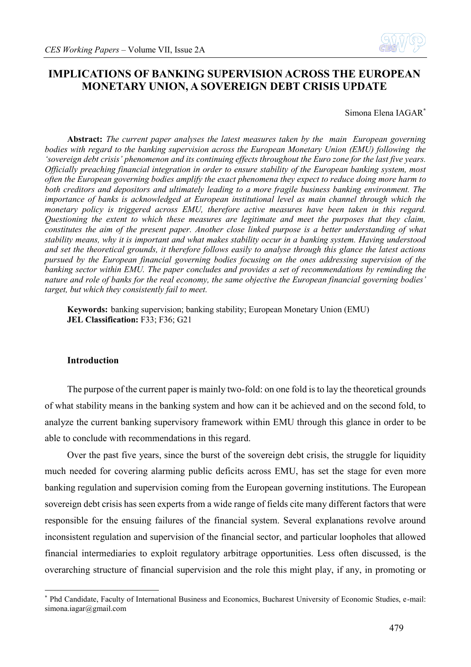

# **IMPLICATIONS OF BANKING SUPERVISION ACROSS THE EUROPEAN MONETARY UNION, A SOVEREIGN DEBT CRISIS UPDATE**

Simona Elena IAGAR **\***

**Abstract:** *The current paper analyses the latest measures taken by the main European governing bodies with regard to the banking supervision across the European Monetary Union (EMU) following the 'sovereign debt crisis' phenomenon and its continuing effects throughout the Euro zone for the last five years. Officially preaching financial integration in order to ensure stability of the European banking system, most often the European governing bodies amplify the exact phenomena they expect to reduce doing more harm to both creditors and depositors and ultimately leading to a more fragile business banking environment. The importance of banks is acknowledged at European institutional level as main channel through which the*  monetary policy is triggered across EMU, therefore active measures have been taken in this regard. *Questioning the extent to which these measures are legitimate and meet the purposes that they claim, constitutes the aim of the present paper. Another close linked purpose is a better understanding of what stability means, why it is important and what makes stability occur in a banking system. Having understood and set the theoretical grounds, it therefore follows easily to analyse through this glance the latest actions pursued by the European financial governing bodies focusing on the ones addressing supervision of the banking sector within EMU. The paper concludes and provides a set of recommendations by reminding the nature and role of banks for the real economy, the same objective the European financial governing bodies' target, but which they consistently fail to meet.* 

**Keywords:** banking supervision; banking stability; European Monetary Union (EMU) **JEL Classification:** F33; F36; G21

## **Introduction**

1

The purpose of the current paper is mainly two-fold: on one fold is to lay the theoretical grounds of what stability means in the banking system and how can it be achieved and on the second fold, to analyze the current banking supervisory framework within EMU through this glance in order to be able to conclude with recommendations in this regard.

Over the past five years, since the burst of the sovereign debt crisis, the struggle for liquidity much needed for covering alarming public deficits across EMU, has set the stage for even more banking regulation and supervision coming from the European governing institutions. The European sovereign debt crisis has seen experts from a wide range of fields cite many different factors that were responsible for the ensuing failures of the financial system. Several explanations revolve around inconsistent regulation and supervision of the financial sector, and particular loopholes that allowed financial intermediaries to exploit regulatory arbitrage opportunities. Less often discussed, is the overarching structure of financial supervision and the role this might play, if any, in promoting or

<sup>\*</sup> Phd Candidate, Faculty of International Business and Economics, Bucharest University of Economic Studies, e-mail: simona.iagar@gmail.com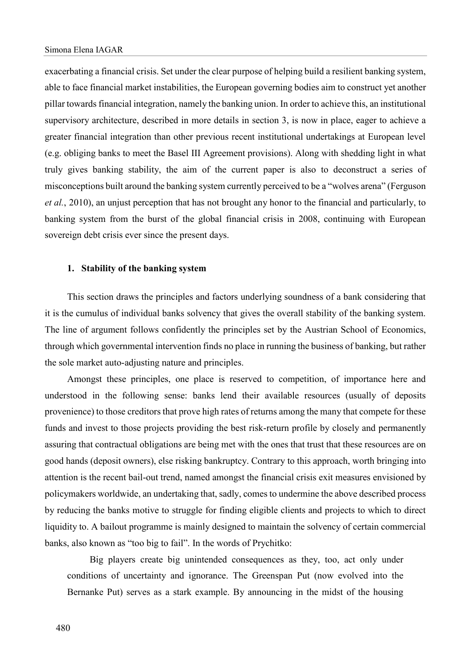exacerbating a financial crisis. Set under the clear purpose of helping build a resilient banking system, able to face financial market instabilities, the European governing bodies aim to construct yet another pillar towards financial integration, namely the banking union. In order to achieve this, an institutional supervisory architecture, described in more details in section 3, is now in place, eager to achieve a greater financial integration than other previous recent institutional undertakings at European level (e.g. obliging banks to meet the Basel III Agreement provisions). Along with shedding light in what truly gives banking stability, the aim of the current paper is also to deconstruct a series of misconceptions built around the banking system currently perceived to be a "wolves arena" (Ferguson *et al.*, 2010), an unjust perception that has not brought any honor to the financial and particularly, to banking system from the burst of the global financial crisis in 2008, continuing with European sovereign debt crisis ever since the present days.

#### **1. Stability of the banking system**

This section draws the principles and factors underlying soundness of a bank considering that it is the cumulus of individual banks solvency that gives the overall stability of the banking system. The line of argument follows confidently the principles set by the Austrian School of Economics, through which governmental intervention finds no place in running the business of banking, but rather the sole market auto-adjusting nature and principles.

Amongst these principles, one place is reserved to competition, of importance here and understood in the following sense: banks lend their available resources (usually of deposits provenience) to those creditors that prove high rates of returns among the many that compete for these funds and invest to those projects providing the best risk-return profile by closely and permanently assuring that contractual obligations are being met with the ones that trust that these resources are on good hands (deposit owners), else risking bankruptcy. Contrary to this approach, worth bringing into attention is the recent bail-out trend, named amongst the financial crisis exit measures envisioned by policymakers worldwide, an undertaking that, sadly, comes to undermine the above described process by reducing the banks motive to struggle for finding eligible clients and projects to which to direct liquidity to. A bailout programme is mainly designed to maintain the solvency of certain commercial banks, also known as "too big to fail". In the words of Prychitko:

Big players create big unintended consequences as they, too, act only under conditions of uncertainty and ignorance. The Greenspan Put (now evolved into the Bernanke Put) serves as a stark example. By announcing in the midst of the housing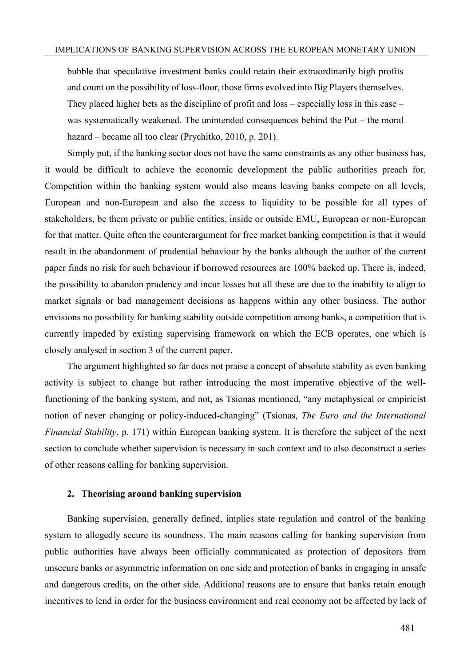bubble that speculative investment banks could retain their extraordinarily high profits and count on the possibility of loss-floor, those firms evolved into Big Players themselves. They placed higher bets as the discipline of profit and loss – especially loss in this case – was systematically weakened. The unintended consequences behind the Put – the moral hazard – became all too clear (Prychitko, 2010, p. 201).

Simply put, if the banking sector does not have the same constraints as any other business has, it would be difficult to achieve the economic development the public authorities preach for. Competition within the banking system would also means leaving banks compete on all levels, European and non-European and also the access to liquidity to be possible for all types of stakeholders, be them private or public entities, inside or outside EMU, European or non-European for that matter. Quite often the counterargument for free market banking competition is that it would result in the abandonment of prudential behaviour by the banks although the author of the current paper finds no risk for such behaviour if borrowed resources are 100% backed up. There is, indeed, the possibility to abandon prudency and incur losses but all these are due to the inability to align to market signals or bad management decisions as happens within any other business. The author envisions no possibility for banking stability outside competition among banks, a competition that is currently impeded by existing supervising framework on which the ECB operates, one which is closely analysed in section 3 of the current paper.

The argument highlighted so far does not praise a concept of absolute stability as even banking activity is subject to change but rather introducing the most imperative objective of the wellfunctioning of the banking system, and not, as Tsionas mentioned, "any metaphysical or empiricist notion of never changing or policy-induced-changing" (Tsionas, *The Euro and the International Financial Stability*, p. 171) within European banking system. It is therefore the subject of the next section to conclude whether supervision is necessary in such context and to also deconstruct a series of other reasons calling for banking supervision.

## **2. Theorising around banking supervision**

Banking supervision, generally defined, implies state regulation and control of the banking system to allegedly secure its soundness. The main reasons calling for banking supervision from public authorities have always been officially communicated as protection of depositors from unsecure banks or asymmetric information on one side and protection of banks in engaging in unsafe and dangerous credits, on the other side. Additional reasons are to ensure that banks retain enough incentives to lend in order for the business environment and real economy not be affected by lack of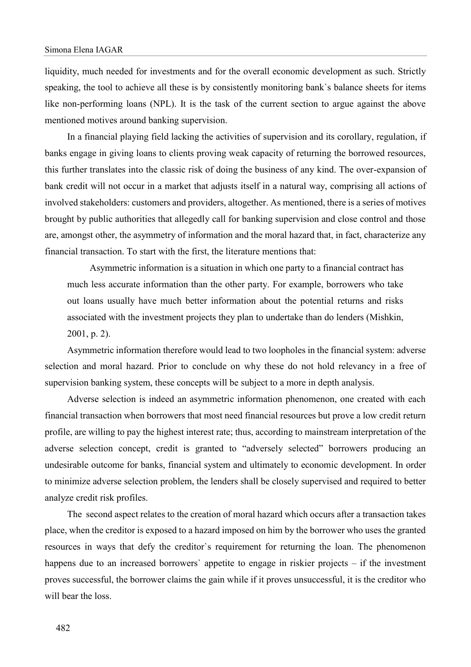liquidity, much needed for investments and for the overall economic development as such. Strictly speaking, the tool to achieve all these is by consistently monitoring bank`s balance sheets for items like non-performing loans (NPL). It is the task of the current section to argue against the above mentioned motives around banking supervision.

In a financial playing field lacking the activities of supervision and its corollary, regulation, if banks engage in giving loans to clients proving weak capacity of returning the borrowed resources, this further translates into the classic risk of doing the business of any kind. The over-expansion of bank credit will not occur in a market that adjusts itself in a natural way, comprising all actions of involved stakeholders: customers and providers, altogether. As mentioned, there is a series of motives brought by public authorities that allegedly call for banking supervision and close control and those are, amongst other, the asymmetry of information and the moral hazard that, in fact, characterize any financial transaction. To start with the first, the literature mentions that:

Asymmetric information is a situation in which one party to a financial contract has much less accurate information than the other party. For example, borrowers who take out loans usually have much better information about the potential returns and risks associated with the investment projects they plan to undertake than do lenders (Mishkin, 2001, p. 2).

Asymmetric information therefore would lead to two loopholes in the financial system: adverse selection and moral hazard. Prior to conclude on why these do not hold relevancy in a free of supervision banking system, these concepts will be subject to a more in depth analysis.

Adverse selection is indeed an asymmetric information phenomenon, one created with each financial transaction when borrowers that most need financial resources but prove a low credit return profile, are willing to pay the highest interest rate; thus, according to mainstream interpretation of the adverse selection concept, credit is granted to "adversely selected" borrowers producing an undesirable outcome for banks, financial system and ultimately to economic development. In order to minimize adverse selection problem, the lenders shall be closely supervised and required to better analyze credit risk profiles.

The second aspect relates to the creation of moral hazard which occurs after a transaction takes place, when the creditor is exposed to a hazard imposed on him by the borrower who uses the granted resources in ways that defy the creditor`s requirement for returning the loan. The phenomenon happens due to an increased borrowers' appetite to engage in riskier projects – if the investment proves successful, the borrower claims the gain while if it proves unsuccessful, it is the creditor who will bear the loss.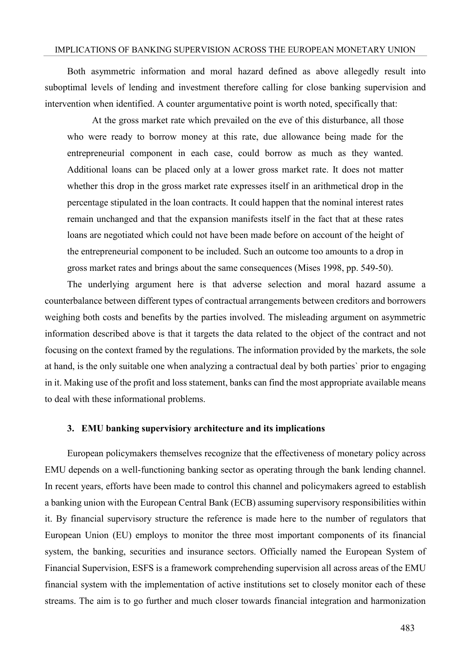# IMPLICATIONS OF BANKING SUPERVISION ACROSS THE EUROPEAN MONETARY UNION

Both asymmetric information and moral hazard defined as above allegedly result into suboptimal levels of lending and investment therefore calling for close banking supervision and intervention when identified. A counter argumentative point is worth noted, specifically that:

At the gross market rate which prevailed on the eve of this disturbance, all those who were ready to borrow money at this rate, due allowance being made for the entrepreneurial component in each case, could borrow as much as they wanted. Additional loans can be placed only at a lower gross market rate. It does not matter whether this drop in the gross market rate expresses itself in an arithmetical drop in the percentage stipulated in the loan contracts. It could happen that the nominal interest rates remain unchanged and that the expansion manifests itself in the fact that at these rates loans are negotiated which could not have been made before on account of the height of the entrepreneurial component to be included. Such an outcome too amounts to a drop in gross market rates and brings about the same consequences (Mises 1998, pp. 549-50).

The underlying argument here is that adverse selection and moral hazard assume a counterbalance between different types of contractual arrangements between creditors and borrowers weighing both costs and benefits by the parties involved. The misleading argument on asymmetric information described above is that it targets the data related to the object of the contract and not focusing on the context framed by the regulations. The information provided by the markets, the sole at hand, is the only suitable one when analyzing a contractual deal by both parties` prior to engaging in it. Making use of the profit and loss statement, banks can find the most appropriate available means to deal with these informational problems.

#### **3. EMU banking supervisiory architecture and its implications**

European policymakers themselves recognize that the effectiveness of monetary policy across EMU depends on a well-functioning banking sector as operating through the bank lending channel. In recent years, efforts have been made to control this channel and policymakers agreed to establish a banking union with the European Central Bank (ECB) assuming supervisory responsibilities within it. By financial supervisory structure the reference is made here to the number of regulators that European Union (EU) employs to monitor the three most important components of its financial system, the banking, securities and insurance sectors. Officially named the European System of Financial Supervision, ESFS is a framework comprehending supervision all across areas of the EMU financial system with the implementation of active institutions set to closely monitor each of these streams. The aim is to go further and much closer towards financial integration and harmonization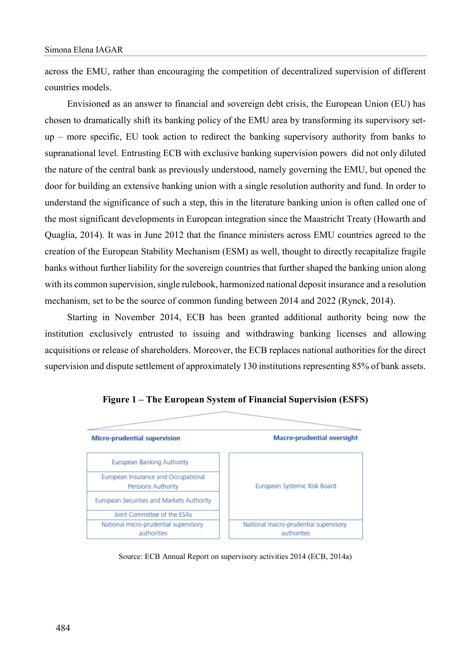across the EMU, rather than encouraging the competition of decentralized supervision of different countries models.

Envisioned as an answer to financial and sovereign debt crisis, the European Union (EU) has chosen to dramatically shift its banking policy of the EMU area by transforming its supervisory setup – more specific, EU took action to redirect the banking supervisory authority from banks to supranational level. Entrusting ECB with exclusive banking supervision powers did not only diluted the nature of the central bank as previously understood, namely governing the EMU, but opened the door for building an extensive banking union with a single resolution authority and fund. In order to understand the significance of such a step, this in the literature banking union is often called one of the most significant developments in European integration since the Maastricht Treaty (Howarth and Quaglia, 2014). It was in June 2012 that the finance ministers across EMU countries agreed to the creation of the European Stability Mechanism (ESM) as well, thought to directly recapitalize fragile banks without further liability for the sovereign countries that further shaped the banking union along with its common supervision, single rulebook, harmonized national deposit insurance and a resolution mechanism, set to be the source of common funding between 2014 and 2022 (Rynck, 2014).

Starting in November 2014, ECB has been granted additional authority being now the institution exclusively entrusted to issuing and withdrawing banking licenses and allowing acquisitions or release of shareholders. Moreover, the ECB replaces national authorities for the direct supervision and dispute settlement of approximately 130 institutions representing 85% of bank assets.



**Figure 1 – The European System of Financial Supervision (ESFS)**

Source: ECB Annual Report on supervisory activities 2014 (ECB, 2014a)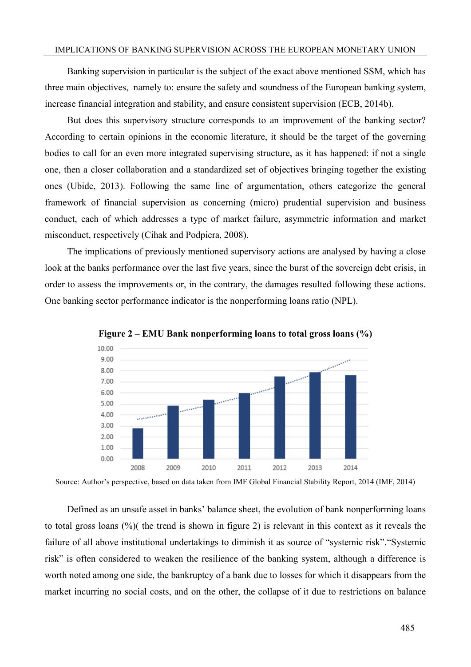#### IMPLICATIONS OF BANKING SUPERVISION ACROSS THE EUROPEAN MONETARY UNION

Banking supervision in particular is the subject of the exact above mentioned SSM, which has three main objectives, namely to: ensure the safety and soundness of the European banking system, increase financial integration and stability, and ensure consistent supervision (ECB, 2014b).

But does this supervisory structure corresponds to an improvement of the banking sector? According to certain opinions in the economic literature, it should be the target of the governing bodies to call for an even more integrated supervising structure, as it has happened: if not a single one, then a closer collaboration and a standardized set of objectives bringing together the existing ones (Ubide, 2013). Following the same line of argumentation, others categorize the general framework of financial supervision as concerning (micro) prudential supervision and business conduct, each of which addresses a type of market failure, asymmetric information and market misconduct, respectively (Cihak and Podpiera, 2008).

The implications of previously mentioned supervisory actions are analysed by having a close look at the banks performance over the last five years, since the burst of the sovereign debt crisis, in order to assess the improvements or, in the contrary, the damages resulted following these actions. One banking sector performance indicator is the nonperforming loans ratio (NPL).



**Figure 2 – EMU Bank nonperforming loans to total gross loans (%)**

Source: Author's perspective, based on data taken from IMF Global Financial Stability Report, 2014 (IMF, 2014)

Defined as an unsafe asset in banks' balance sheet, the evolution of bank nonperforming loans to total gross loans (%)( the trend is shown in figure 2) is relevant in this context as it reveals the failure of all above institutional undertakings to diminish it as source of "systemic risk"."Systemic risk" is often considered to weaken the resilience of the banking system, although a difference is worth noted among one side, the bankruptcy of a bank due to losses for which it disappears from the market incurring no social costs, and on the other, the collapse of it due to restrictions on balance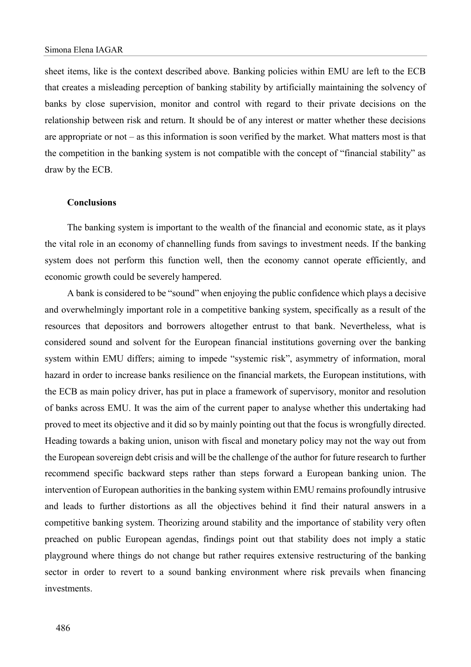sheet items, like is the context described above. Banking policies within EMU are left to the ECB that creates a misleading perception of banking stability by artificially maintaining the solvency of banks by close supervision, monitor and control with regard to their private decisions on the relationship between risk and return. It should be of any interest or matter whether these decisions are appropriate or not – as this information is soon verified by the market. What matters most is that the competition in the banking system is not compatible with the concept of "financial stability" as draw by the ECB.

#### **Conclusions**

The banking system is important to the wealth of the financial and economic state, as it plays the vital role in an economy of channelling funds from savings to investment needs. If the banking system does not perform this function well, then the economy cannot operate efficiently, and economic growth could be severely hampered.

A bank is considered to be "sound" when enjoying the public confidence which plays a decisive and overwhelmingly important role in a competitive banking system, specifically as a result of the resources that depositors and borrowers altogether entrust to that bank. Nevertheless, what is considered sound and solvent for the European financial institutions governing over the banking system within EMU differs; aiming to impede "systemic risk", asymmetry of information, moral hazard in order to increase banks resilience on the financial markets, the European institutions, with the ECB as main policy driver, has put in place a framework of supervisory, monitor and resolution of banks across EMU. It was the aim of the current paper to analyse whether this undertaking had proved to meet its objective and it did so by mainly pointing out that the focus is wrongfully directed. Heading towards a baking union, unison with fiscal and monetary policy may not the way out from the European sovereign debt crisis and will be the challenge of the author for future research to further recommend specific backward steps rather than steps forward a European banking union. The intervention of European authorities in the banking system within EMU remains profoundly intrusive and leads to further distortions as all the objectives behind it find their natural answers in a competitive banking system. Theorizing around stability and the importance of stability very often preached on public European agendas, findings point out that stability does not imply a static playground where things do not change but rather requires extensive restructuring of the banking sector in order to revert to a sound banking environment where risk prevails when financing investments.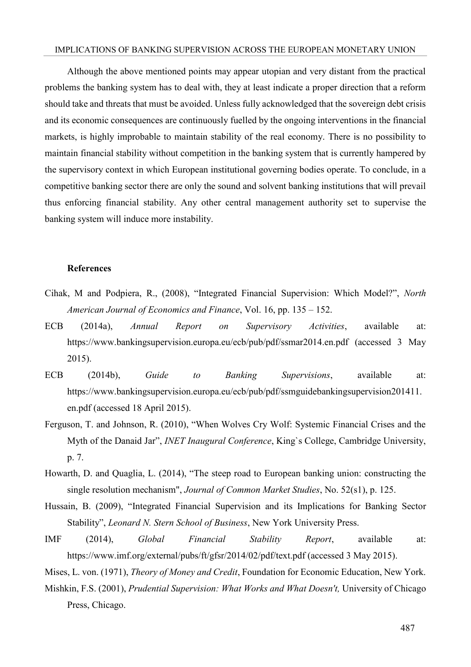# IMPLICATIONS OF BANKING SUPERVISION ACROSS THE EUROPEAN MONETARY UNION

Although the above mentioned points may appear utopian and very distant from the practical problems the banking system has to deal with, they at least indicate a proper direction that a reform should take and threats that must be avoided. Unless fully acknowledged that the sovereign debt crisis and its economic consequences are continuously fuelled by the ongoing interventions in the financial markets, is highly improbable to maintain stability of the real economy. There is no possibility to maintain financial stability without competition in the banking system that is currently hampered by the supervisory context in which European institutional governing bodies operate. To conclude, in a competitive banking sector there are only the sound and solvent banking institutions that will prevail thus enforcing financial stability. Any other central management authority set to supervise the banking system will induce more instability.

### **References**

- Cihak, M and Podpiera, R., (2008), "Integrated Financial Supervision: Which Model?", *North American Journal of Economics and Finance*, Vol. 16, pp. 135 – 152.
- ECB (2014a), *Annual Report on Supervisory Activities*, available at: https://www.bankingsupervision.europa.eu/ecb/pub/pdf/ssmar2014.en.pdf (accessed 3 May 2015).
- ECB (2014b), *Guide to Banking Supervisions*, available at: https://www.bankingsupervision.europa.eu/ecb/pub/pdf/ssmguidebankingsupervision201411. en.pdf (accessed 18 April 2015).
- Ferguson, T. and Johnson, R. (2010), "When Wolves Cry Wolf: Systemic Financial Crises and the Myth of the Danaid Jar", *INET Inaugural Conference*, King`s College, Cambridge University, p. 7.
- Howarth, D. and Quaglia, L. (2014), "The steep road to European banking union: constructing the single resolution mechanism", *Journal of Common Market Studies*, No. 52(s1), p. 125.
- Hussain, B. (2009), "Integrated Financial Supervision and its Implications for Banking Sector Stability", *Leonard N. Stern School of Business*, New York University Press.
- IMF (2014), *Global Financial Stability Report*, available at: https://www.imf.org/external/pubs/ft/gfsr/2014/02/pdf/text.pdf (accessed 3 May 2015).

Mises, L. von. (1971), *Theory of Money and Credit*, Foundation for Economic Education, New York.

Mishkin, F.S. (2001), *Prudential Supervision: What Works and What Doesn't,* University of Chicago Press, Chicago.